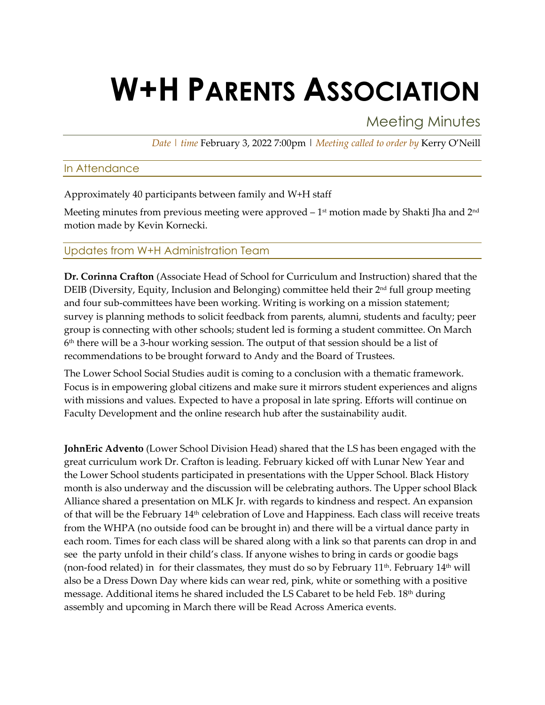# **W+H PARENTS ASSOCIATION**

Meeting Minutes

*Date | time* February 3, 2022 7:00pm | *Meeting called to order by* Kerry O'Neill

### In Attendance

Approximately 40 participants between family and W+H staff

Meeting minutes from previous meeting were approved  $-1<sup>st</sup>$  motion made by Shakti Jha and  $2<sup>nd</sup>$ motion made by Kevin Kornecki.

### Updates from W+H Administration Team

**Dr. Corinna Crafton** (Associate Head of School for Curriculum and Instruction) shared that the DEIB (Diversity, Equity, Inclusion and Belonging) committee held their 2nd full group meeting and four sub-committees have been working. Writing is working on a mission statement; survey is planning methods to solicit feedback from parents, alumni, students and faculty; peer group is connecting with other schools; student led is forming a student committee. On March  $6<sup>th</sup>$  there will be a 3-hour working session. The output of that session should be a list of recommendations to be brought forward to Andy and the Board of Trustees.

The Lower School Social Studies audit is coming to a conclusion with a thematic framework. Focus is in empowering global citizens and make sure it mirrors student experiences and aligns with missions and values. Expected to have a proposal in late spring. Efforts will continue on Faculty Development and the online research hub after the sustainability audit.

**JohnEric Advento** (Lower School Division Head) shared that the LS has been engaged with the great curriculum work Dr. Crafton is leading. February kicked off with Lunar New Year and the Lower School students participated in presentations with the Upper School. Black History month is also underway and the discussion will be celebrating authors. The Upper school Black Alliance shared a presentation on MLK Jr. with regards to kindness and respect. An expansion of that will be the February 14th celebration of Love and Happiness. Each class will receive treats from the WHPA (no outside food can be brought in) and there will be a virtual dance party in each room. Times for each class will be shared along with a link so that parents can drop in and see the party unfold in their child's class. If anyone wishes to bring in cards or goodie bags (non-food related) in for their classmates, they must do so by February  $11<sup>th</sup>$ . February  $14<sup>th</sup>$  will also be a Dress Down Day where kids can wear red, pink, white or something with a positive message. Additional items he shared included the LS Cabaret to be held Feb. 18<sup>th</sup> during assembly and upcoming in March there will be Read Across America events.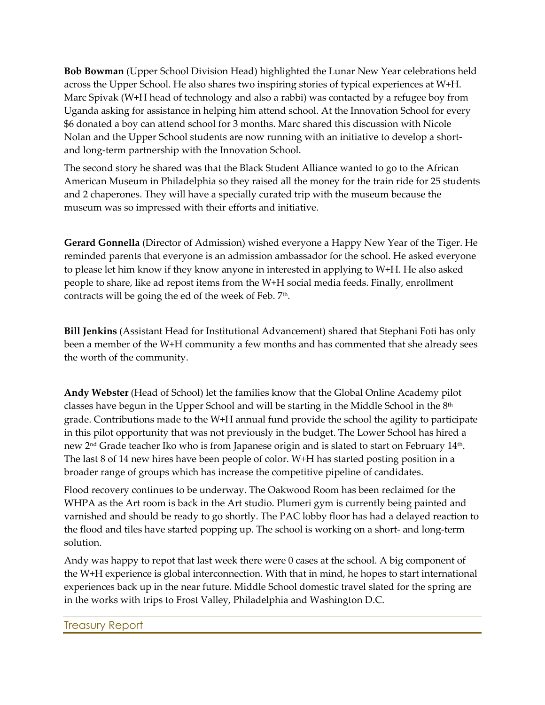**Bob Bowman** (Upper School Division Head) highlighted the Lunar New Year celebrations held across the Upper School. He also shares two inspiring stories of typical experiences at W+H. Marc Spivak (W+H head of technology and also a rabbi) was contacted by a refugee boy from Uganda asking for assistance in helping him attend school. At the Innovation School for every \$6 donated a boy can attend school for 3 months. Marc shared this discussion with Nicole Nolan and the Upper School students are now running with an initiative to develop a shortand long-term partnership with the Innovation School.

The second story he shared was that the Black Student Alliance wanted to go to the African American Museum in Philadelphia so they raised all the money for the train ride for 25 students and 2 chaperones. They will have a specially curated trip with the museum because the museum was so impressed with their efforts and initiative.

**Gerard Gonnella** (Director of Admission) wished everyone a Happy New Year of the Tiger. He reminded parents that everyone is an admission ambassador for the school. He asked everyone to please let him know if they know anyone in interested in applying to W+H. He also asked people to share, like ad repost items from the W+H social media feeds. Finally, enrollment contracts will be going the ed of the week of Feb. 7<sup>th</sup>.

**Bill Jenkins** (Assistant Head for Institutional Advancement) shared that Stephani Foti has only been a member of the W+H community a few months and has commented that she already sees the worth of the community.

**Andy Webster** (Head of School) let the families know that the Global Online Academy pilot classes have begun in the Upper School and will be starting in the Middle School in the 8<sup>th</sup> grade. Contributions made to the W+H annual fund provide the school the agility to participate in this pilot opportunity that was not previously in the budget. The Lower School has hired a new 2nd Grade teacher Iko who is from Japanese origin and is slated to start on February 14th. The last 8 of 14 new hires have been people of color. W+H has started posting position in a broader range of groups which has increase the competitive pipeline of candidates.

Flood recovery continues to be underway. The Oakwood Room has been reclaimed for the WHPA as the Art room is back in the Art studio. Plumeri gym is currently being painted and varnished and should be ready to go shortly. The PAC lobby floor has had a delayed reaction to the flood and tiles have started popping up. The school is working on a short- and long-term solution.

Andy was happy to repot that last week there were 0 cases at the school. A big component of the W+H experience is global interconnection. With that in mind, he hopes to start international experiences back up in the near future. Middle School domestic travel slated for the spring are in the works with trips to Frost Valley, Philadelphia and Washington D.C.